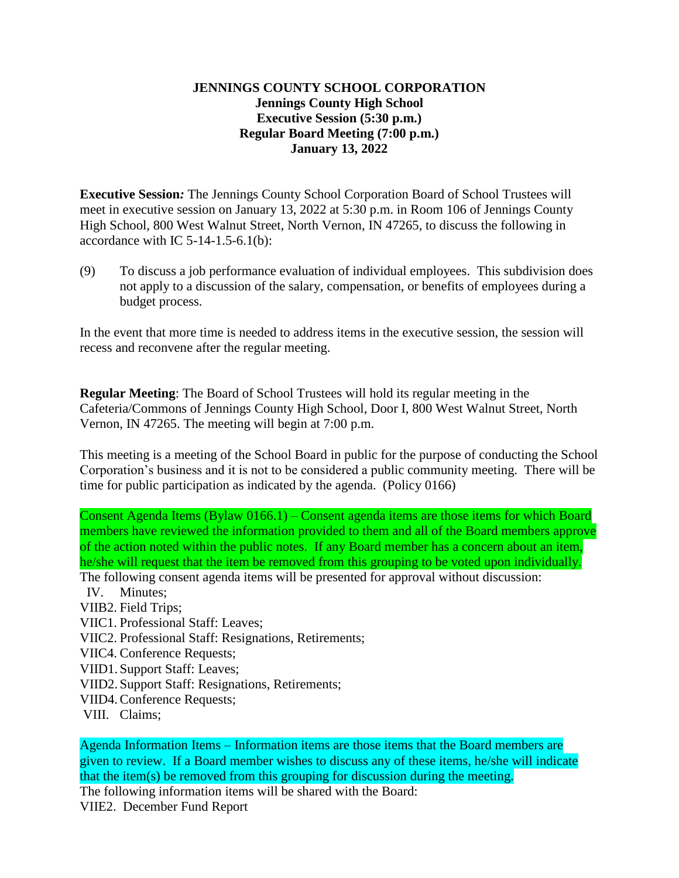## **JENNINGS COUNTY SCHOOL CORPORATION Jennings County High School Executive Session (5:30 p.m.) Regular Board Meeting (7:00 p.m.) January 13, 2022**

**Executive Session***:* The Jennings County School Corporation Board of School Trustees will meet in executive session on January 13, 2022 at 5:30 p.m. in Room 106 of Jennings County High School, 800 West Walnut Street, North Vernon, IN 47265, to discuss the following in accordance with IC  $5-14-1.5-6.1(b)$ :

(9) To discuss a job performance evaluation of individual employees. This subdivision does not apply to a discussion of the salary, compensation, or benefits of employees during a budget process.

In the event that more time is needed to address items in the executive session, the session will recess and reconvene after the regular meeting.

**Regular Meeting**: The Board of School Trustees will hold its regular meeting in the Cafeteria/Commons of Jennings County High School, Door I, 800 West Walnut Street, North Vernon, IN 47265. The meeting will begin at 7:00 p.m.

This meeting is a meeting of the School Board in public for the purpose of conducting the School Corporation's business and it is not to be considered a public community meeting. There will be time for public participation as indicated by the agenda. (Policy 0166)

Consent Agenda Items (Bylaw 0166.1) – Consent agenda items are those items for which Board members have reviewed the information provided to them and all of the Board members approve of the action noted within the public notes. If any Board member has a concern about an item, he/she will request that the item be removed from this grouping to be voted upon individually. The following consent agenda items will be presented for approval without discussion:

- IV. Minutes;
- VIIB2. Field Trips;
- VIIC1. Professional Staff: Leaves;
- VIIC2. Professional Staff: Resignations, Retirements;
- VIIC4. Conference Requests;
- VIID1. Support Staff: Leaves;
- VIID2. Support Staff: Resignations, Retirements;
- VIID4.Conference Requests;
- VIII. Claims;

Agenda Information Items – Information items are those items that the Board members are given to review. If a Board member wishes to discuss any of these items, he/she will indicate that the item(s) be removed from this grouping for discussion during the meeting. The following information items will be shared with the Board: VIIE2. December Fund Report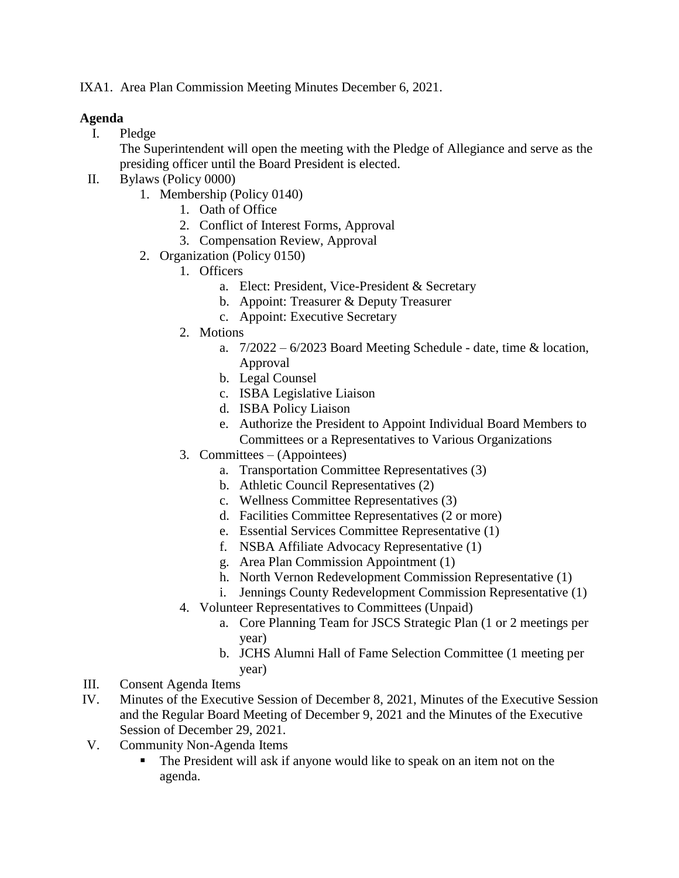IXA1. Area Plan Commission Meeting Minutes December 6, 2021.

## **Agenda**

I. Pledge

The Superintendent will open the meeting with the Pledge of Allegiance and serve as the presiding officer until the Board President is elected.

- II. Bylaws (Policy 0000)
	- 1. Membership (Policy 0140)
		- 1. Oath of Office
		- 2. Conflict of Interest Forms, Approval
		- 3. Compensation Review, Approval
	- 2. Organization (Policy 0150)
		- 1. Officers
			- a. Elect: President, Vice-President & Secretary
			- b. Appoint: Treasurer & Deputy Treasurer
			- c. Appoint: Executive Secretary
		- 2. Motions
			- a.  $7/2022 6/2023$  Board Meeting Schedule date, time & location, Approval
			- b. Legal Counsel
			- c. ISBA Legislative Liaison
			- d. ISBA Policy Liaison
			- e. Authorize the President to Appoint Individual Board Members to Committees or a Representatives to Various Organizations
		- 3. Committees (Appointees)
			- a. Transportation Committee Representatives (3)
			- b. Athletic Council Representatives (2)
			- c. Wellness Committee Representatives (3)
			- d. Facilities Committee Representatives (2 or more)
			- e. Essential Services Committee Representative (1)
			- f. NSBA Affiliate Advocacy Representative (1)
			- g. Area Plan Commission Appointment (1)
			- h. North Vernon Redevelopment Commission Representative (1)
			- i. Jennings County Redevelopment Commission Representative (1)
		- 4. Volunteer Representatives to Committees (Unpaid)
			- a. Core Planning Team for JSCS Strategic Plan (1 or 2 meetings per year)
			- b. JCHS Alumni Hall of Fame Selection Committee (1 meeting per year)
- III. Consent Agenda Items
- IV. Minutes of the Executive Session of December 8, 2021, Minutes of the Executive Session and the Regular Board Meeting of December 9, 2021 and the Minutes of the Executive Session of December 29, 2021.
- V. Community Non-Agenda Items
	- The President will ask if anyone would like to speak on an item not on the agenda.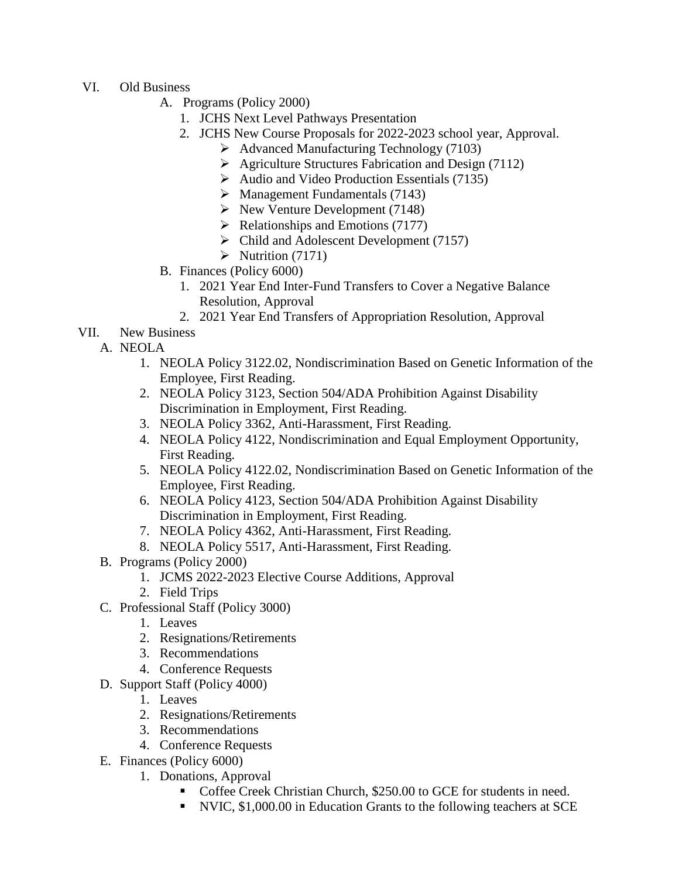- VI. Old Business
	- A. Programs (Policy 2000)
		- 1. JCHS Next Level Pathways Presentation
		- 2. JCHS New Course Proposals for 2022-2023 school year, Approval.
			- $\blacktriangleright$  Advanced Manufacturing Technology (7103)
			- $\triangleright$  Agriculture Structures Fabrication and Design (7112)
			- $\blacktriangleright$  Audio and Video Production Essentials (7135)
			- $\triangleright$  Management Fundamentals (7143)
			- $\triangleright$  New Venture Development (7148)
			- $\triangleright$  Relationships and Emotions (7177)
			- $\triangleright$  Child and Adolescent Development (7157)
			- $\triangleright$  Nutrition (7171)
	- B. Finances (Policy 6000)
		- 1. 2021 Year End Inter-Fund Transfers to Cover a Negative Balance Resolution, Approval
		- 2. 2021 Year End Transfers of Appropriation Resolution, Approval
- VII. New Business
	- A. NEOLA
		- 1. NEOLA Policy 3122.02, Nondiscrimination Based on Genetic Information of the Employee, First Reading.
		- 2. NEOLA Policy 3123, Section 504/ADA Prohibition Against Disability Discrimination in Employment, First Reading.
		- 3. NEOLA Policy 3362, Anti-Harassment, First Reading.
		- 4. NEOLA Policy 4122, Nondiscrimination and Equal Employment Opportunity, First Reading.
		- 5. NEOLA Policy 4122.02, Nondiscrimination Based on Genetic Information of the Employee, First Reading.
		- 6. NEOLA Policy 4123, Section 504/ADA Prohibition Against Disability Discrimination in Employment, First Reading.
		- 7. NEOLA Policy 4362, Anti-Harassment, First Reading.
		- 8. NEOLA Policy 5517, Anti-Harassment, First Reading.
	- B. Programs (Policy 2000)
		- 1. JCMS 2022-2023 Elective Course Additions, Approval
		- 2. Field Trips
	- C. Professional Staff (Policy 3000)
		- 1. Leaves
		- 2. Resignations/Retirements
		- 3. Recommendations
		- 4. Conference Requests
	- D. Support Staff (Policy 4000)
		- 1. Leaves
		- 2. Resignations/Retirements
		- 3. Recommendations
		- 4. Conference Requests
	- E. Finances (Policy 6000)
		- 1. Donations, Approval
			- Coffee Creek Christian Church, \$250.00 to GCE for students in need.
			- NVIC, \$1,000.00 in Education Grants to the following teachers at SCE